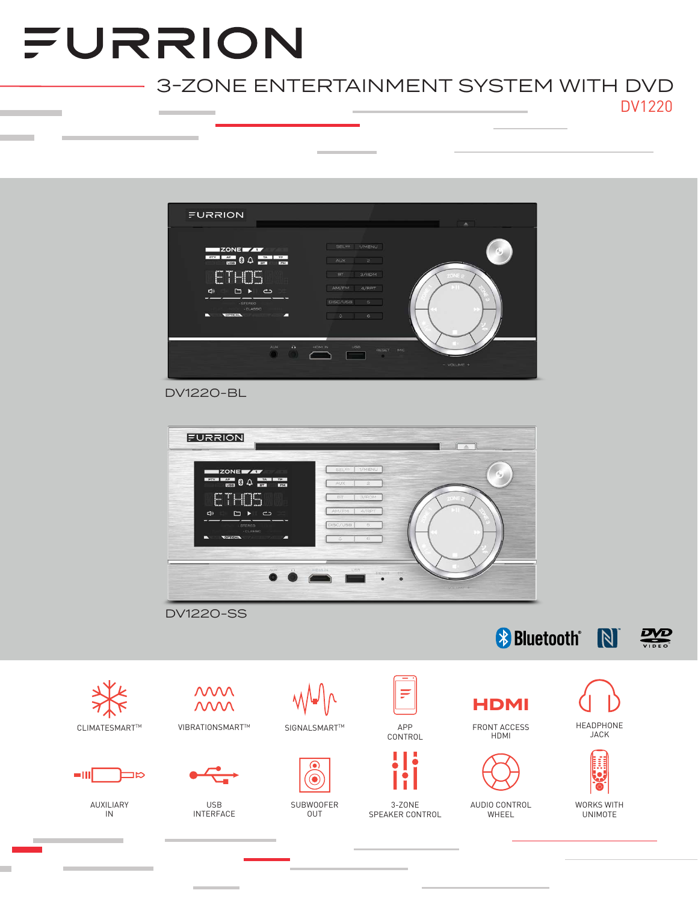# FURRION

## 3-ZONE ENTERTAINMENT SYSTEM WITH DVD DV1220



DV1220-BL



DV1220-SS









AUXILIARY IN





USB INTERFACE



SUBWOOFER OUT



CONTROL



3-ZONE SPEAKER CONTROL











HEADPHONE JACK

嚢

Ŀ

WORKS WITH UNIMOTE